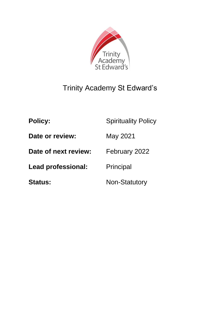

# Trinity Academy St Edward's

| <b>Policy:</b>            | <b>Spirituality Policy</b> |
|---------------------------|----------------------------|
| Date or review:           | May 2021                   |
| Date of next review:      | February 2022              |
| <b>Lead professional:</b> | Principal                  |
| <b>Status:</b>            | <b>Non-Statutory</b>       |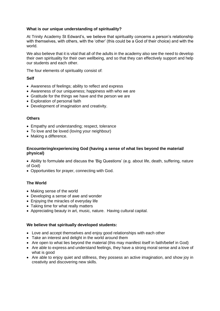#### **What is our unique understanding of spirituality?**

At Trinity Academy St Edward's, we believe that spirituality concerns a person's relationship with themselves, with others, with the 'other' (this could be a God of their choice) and with the world.

We also believe that it is vital that all of the adults in the academy also see the need to develop their own spirituality for their own wellbeing, and so that they can effectively support and help our students and each other.

The four elements of spirituality consist of:

### **Self**

- Awareness of feelings; ability to reflect and express
- Awareness of our uniqueness; happiness with who we are
- Gratitude for the things we have and the person we are
- Exploration of personal faith
- Development of imagination and creativity.

### **Others**

- Empathy and understanding; respect, tolerance
- To love and be loved (loving your neighbour)
- Making a difference.

#### **Encountering/experiencing God (having a sense of what lies beyond the material/ physical)**

• Ability to formulate and discuss the 'Big Questions' (e.g. about life, death, suffering, nature of God)

• Opportunities for prayer, connecting with God.

## **The World**

- Making sense of the world
- Developing a sense of awe and wonder
- Enjoying the miracles of everyday life
- Taking time for what really matters
- Appreciating beauty in art, music, nature. Having cultural capital.

#### **We believe that spiritually developed students:**

- Love and accept themselves and enjoy good relationships with each other
- Take an interest and delight in the world around them
- Are open to what lies beyond the material (this may manifest itself in faith/belief in God)
- Are able to express and understand feelings, they have a strong moral sense and a love of what is good
- Are able to enjoy quiet and stillness, they possess an active imagination, and show joy in creativity and discovering new skills.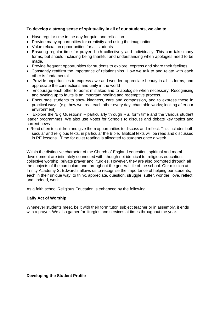#### **To develop a strong sense of spirituality in all of our students, we aim to:**

- Have regular time in the day for quiet and reflection
- Provide many opportunities for creativity and using the imagination
- Value relaxation opportunities for all students
- Ensuring regular time for prayer, both collectively and individually. This can take many forms, but should including being thankful and understanding when apologies need to be made.
- Provide frequent opportunities for students to explore, express and share their feelings
- Constantly reaffirm the importance of relationships. How we talk to and relate with each other is fundamental
- Provide opportunities to express awe and wonder, appreciate beauty in all its forms, and appreciate the connections and unity in the world
- Encourage each other to admit mistakes and to apologise when necessary. Recognising and owning up to faults is an important healing and redemptive process.
- Encourage students to show kindness, care and compassion, and to express these in practical ways. (e.g. how we treat each other every day; charitable works; looking after our environment)

• Explore the 'Big Questions' – particularly through RS, form time and the various student leader programmes. We also use Votes for Schools to discuss and debate key topics and current news

• Read often to children and give them opportunities to discuss and reflect. This includes both secular and religious texts, in particular the Bible. Biblical texts will be read and discussed in RE lessons. Time for quiet reading is allocated to students once a week.

Within the distinctive character of the Church of England education, spiritual and moral development are intimately connected with, though not identical to, religious education, collective worship, private prayer and liturgies. However, they are also promoted through all the subjects of the curriculum and throughout the general life of the school. Our mission at Trinity Academy St Edward's allows us to recognise the importance of helping our students, each in their unique way, to think, appreciate, question, struggle, suffer, wonder, love, reflect and, indeed, work.

As a faith school Religious Education is enhanced by the following:

#### **Daily Act of Worship**

Whenever students meet, be it with their form tutor, subject teacher or in assembly, it ends with a prayer. We also gather for liturgies and services at times throughout the year.